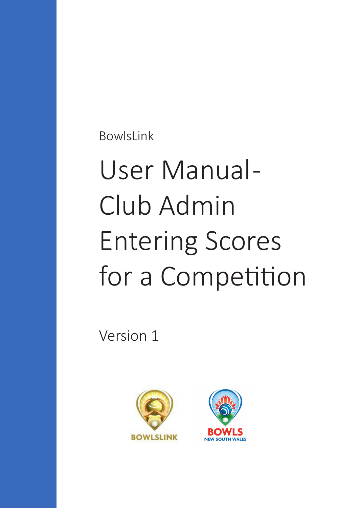BowlsLink

# User Manual-Club Admin Entering Scores for a Competition

Version 1



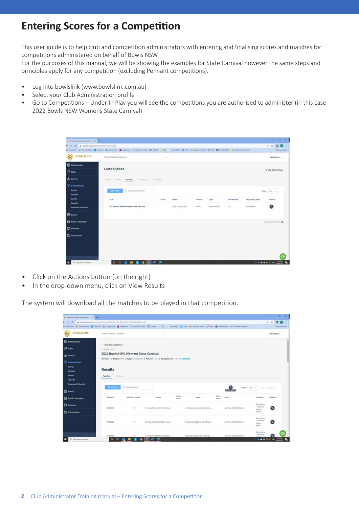### **Entering Scores for a Competition**

This user guide is to help club and competition administrators with entering and finalising scores and matches for competitions administered on behalf of Bowls NSW.

For the purposes of this manual, we will be showing the examples for State Carnival however the same steps and principles apply for any competition (excluding Pennant competitions).

- Log into bowlslink (www.bowlslink.com.au)
- Select your Club Administration profile
- Go to Competitions Under In Play you will see the competitions you are authorised to administer (in this case 2022 Bowls NSW Womens State Carnival)

| $\leftarrow$ $\rightarrow$ C $\bullet$ bowlsink.com.au/competitions/manage |                                                                                                                                                                                                                                |        |                    |        |             |                     |                        | 2 ☆ 口◎ :                       |
|----------------------------------------------------------------------------|--------------------------------------------------------------------------------------------------------------------------------------------------------------------------------------------------------------------------------|--------|--------------------|--------|-------------|---------------------|------------------------|--------------------------------|
|                                                                            | C SON NOT C SON AUTOR (C SOUTH CONTROL C SOUTH C SOUTH C SOUTH C SOUTH C AUTOR CONTROLLED AND SOUTH CONTROLLED STATES OF SOUTH AUTOR CONTROLLED AND SOUTH AT STATES OF SOUTH AUTOR CONTROLLED AND SOLD AT STATES OF SOUTH AUTO |        |                    |        |             |                     |                        | City Offer bookmarks           |
| <b>BOWLSLINK</b>                                                           | Milton-Ulladulla - Womens                                                                                                                                                                                                      | $\sim$ |                    |        |             |                     |                        | DAVID ELLIS -                  |
| <b>B</b> Membership                                                        |                                                                                                                                                                                                                                |        |                    |        |             |                     |                        |                                |
| P Outs                                                                     | Competitions                                                                                                                                                                                                                   |        |                    |        |             |                     |                        | <sup>2</sup> ADD COMPETITION   |
| & Greens                                                                   | Completed Cancelled<br>Draft-<br>Active<br>In Play                                                                                                                                                                             |        |                    |        |             |                     |                        |                                |
| <sup>2</sup> Competitions<br><b>Entries</b><br><b>Fatures</b>              | C Search Competitions<br><b>SE FILTER</b>                                                                                                                                                                                      |        |                    |        |             |                     |                        | Rews: 25 w                     |
| Events                                                                     | Title :                                                                                                                                                                                                                        | Event  | Dates :            | Format | Type        | <b>View Entries</b> | <b>Organising Body</b> | Actions                        |
| <b>Reports</b><br><b>Broadcast Schedule</b>                                | 2022 Bowls NSW Womens State Carnival                                                                                                                                                                                           |        | 2 May - 6 Hay 2022 | Fours. | Round-Robin | 172                 | Bowls NSH              | ۵                              |
| <b>E</b> tweets                                                            |                                                                                                                                                                                                                                |        |                    |        |             |                     |                        |                                |
| <b>Q</b> Email Campaigns                                                   |                                                                                                                                                                                                                                |        |                    |        |             |                     |                        | Powered by Marchetthurs, 1974. |
| C Finances                                                                 |                                                                                                                                                                                                                                |        |                    |        |             |                     |                        |                                |
| <b>CL</b> Integrations                                                     |                                                                                                                                                                                                                                |        |                    |        |             |                     |                        |                                |
|                                                                            |                                                                                                                                                                                                                                |        |                    |        |             |                     |                        |                                |
|                                                                            |                                                                                                                                                                                                                                |        |                    |        |             |                     |                        |                                |
|                                                                            |                                                                                                                                                                                                                                |        |                    |        |             |                     |                        |                                |

- Click on the Actions button (on the right)
- In the drop-down menu, click on View Results

The system will download all the matches to be played in that competition.

| D Soddisk Member Management 1: X +                                                                                                                                                                                             |                                          |                                      |                                                                                       |       |                                      |       |                       |                                        | $\Box$<br>w.<br>$\sim$<br>$\times$ |
|--------------------------------------------------------------------------------------------------------------------------------------------------------------------------------------------------------------------------------|------------------------------------------|--------------------------------------|---------------------------------------------------------------------------------------|-------|--------------------------------------|-------|-----------------------|----------------------------------------|------------------------------------|
| C . bowlslink.com.au/competitions/0637a18e-7fa1-48c5-89fc-f7fbe7e57684/results<br>$\leftarrow$ $\rightarrow$                                                                                                                   |                                          |                                      |                                                                                       |       |                                      |       |                       |                                        | <b>DO</b><br>近合                    |
| C SUBSIDE C SUBJECTS OF AUTOR COMPONE & SUBJECTS OF CALLASS COMPANY COMPANY COMPANY COMPANY COMPANY COMPANY COMPANY COMPANY COMPANY COMPANY COMPANY COMPANY COMPANY COMPANY COMPANY COMPANY COMPANY COMPANY COMPANY COMPANY CO |                                          |                                      |                                                                                       |       |                                      |       |                       |                                        | Offer bookmarks                    |
| <b>BOWLSLINK</b>                                                                                                                                                                                                               | Milton-Ulladulla - Womens                |                                      | $\sim$                                                                                |       |                                      |       |                       |                                        | DAVID ELLIS -                      |
| <b>B</b> Membership                                                                                                                                                                                                            |                                          |                                      |                                                                                       |       |                                      |       |                       |                                        |                                    |
| P Outs                                                                                                                                                                                                                         | < Back to Competitions<br>2 - 6 May 2022 |                                      |                                                                                       |       |                                      |       |                       |                                        |                                    |
|                                                                                                                                                                                                                                |                                          | 2022 Bowls NSW Womens State Carnival |                                                                                       |       |                                      |       |                       |                                        |                                    |
| & Greens                                                                                                                                                                                                                       |                                          |                                      | Version: 1   Status: Final   Type: Round-Robin   Format: Fours   Competitors: 172/174 |       |                                      |       |                       |                                        |                                    |
| <sup>2</sup> Competitions                                                                                                                                                                                                      |                                          |                                      |                                                                                       |       |                                      |       |                       |                                        |                                    |
| <b>Entries</b>                                                                                                                                                                                                                 | <b>Results</b>                           |                                      |                                                                                       |       |                                      |       |                       |                                        |                                    |
| Fixtures                                                                                                                                                                                                                       |                                          |                                      |                                                                                       |       |                                      |       |                       |                                        |                                    |
| Ewents.<br><b>Reports</b>                                                                                                                                                                                                      | Finalised.<br><b>Pending</b>             |                                      |                                                                                       |       |                                      |       |                       |                                        |                                    |
| <b>Broadcast Schedule</b>                                                                                                                                                                                                      |                                          |                                      |                                                                                       |       |                                      |       |                       |                                        |                                    |
| <b>E</b> Events                                                                                                                                                                                                                | <b>METHER</b>                            | C. Search Results                    |                                                                                       |       |                                      |       |                       | Rows: 25 =                             | 1222.23                            |
|                                                                                                                                                                                                                                | Match ID                                 | Section - Round                      | Home                                                                                  | Home  | Away                                 | Away  | <b>Date:</b>          | Location                               | Actions                            |
| <b>Q</b> Email Campaigns                                                                                                                                                                                                       |                                          |                                      |                                                                                       | Score |                                      | Score |                       |                                        |                                    |
| C Finances                                                                                                                                                                                                                     |                                          |                                      |                                                                                       |       |                                      |       |                       | Bomaderry<br>- Womens                  |                                    |
|                                                                                                                                                                                                                                | #422484                                  | $1 - 1$                              | T. Tomsett/R. Hartin/H. Flemin                                                        |       | 14.1-Mallaney/J. Cairns, R. Visintin |       | 2nd Hay 2022 @ 9:00am | Creen 1.                               | $\circ$                            |
|                                                                                                                                                                                                                                |                                          |                                      |                                                                                       |       |                                      |       |                       | <b>Birik 2</b>                         |                                    |
| <b>CL</b> Integrations                                                                                                                                                                                                         |                                          |                                      |                                                                                       |       |                                      |       |                       | Bomaderry                              |                                    |
|                                                                                                                                                                                                                                | #422485                                  | $1 - 1$                              | J. Hudson/K. Schofield/L. Hoge                                                        |       | V. Redrup/K. Eagleson/C. Allenb      |       | 2nd Hay 2022 @ 9:00am | - Womens<br>Creen 1.<br><b>Birik 7</b> | O.                                 |
|                                                                                                                                                                                                                                | #422486                                  | $1 - 1$                              | G. Lee/K. Costello/C. Woods/N                                                         |       | I. Dunn/C. Portener/D. Folkard/      |       | 2nd Hay 2022 @ 9:00am | Bomaderry<br><b>Womens</b>             |                                    |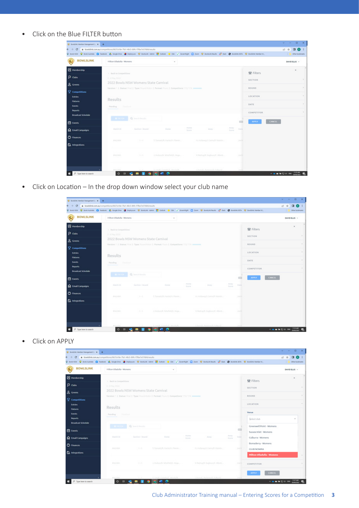#### • Click on the Blue FILTER button

|                                             | · bowlsink.com.au/competitions/0637a18e-7fa1-48c5-89fc-f7fbe7e57684/results |                                           |                                                                                                | C Son Now C Sock Lumbs C Authors & Coup Disc C Description C Sockie Labor. 21 October C Co. / Governings C Zoon C Sockick Marks C Stati C Scottish US Sockick Marks M. Description D. Sockie Marks Marks Marks Marks Marks Mar |                         |                  | $\begin{array}{c} \n\mathbf{a} \mathbf{b} \\ \mathbf{c} \mathbf{c} \\ \mathbf{d} \mathbf{c} \\ \mathbf{c} \mathbf{c} \\ \mathbf{c} \mathbf{c} \\ \mathbf{c} \mathbf{c} \\ \mathbf{c} \mathbf{c} \\ \mathbf{c} \mathbf{c} \\ \mathbf{c} \mathbf{c} \\ \mathbf{c} \mathbf{c} \\ \mathbf{c} \mathbf{c} \\ \mathbf{c} \mathbf{c} \\ \mathbf{c} \mathbf{c} \\ \mathbf{c} \mathbf{c} \\ \mathbf{c} \mathbf{c} \\ \mathbf{c} \mathbf{c} \\ \mathbf$<br>近食<br>Other bookmarks |
|---------------------------------------------|-----------------------------------------------------------------------------|-------------------------------------------|------------------------------------------------------------------------------------------------|--------------------------------------------------------------------------------------------------------------------------------------------------------------------------------------------------------------------------------|-------------------------|------------------|-----------------------------------------------------------------------------------------------------------------------------------------------------------------------------------------------------------------------------------------------------------------------------------------------------------------------------------------------------------------------------------------------------------------------------------------------------------------------|
| <b>BOWLSLINK</b><br>۰                       | Milton-Ulladulla - Womens                                                   |                                           | ÷.                                                                                             |                                                                                                                                                                                                                                |                         |                  | DAVID ELLIS -                                                                                                                                                                                                                                                                                                                                                                                                                                                         |
| <b>B</b> Membership                         | ( Back to Competitions                                                      |                                           |                                                                                                |                                                                                                                                                                                                                                |                         | <b>错</b> Filters | $\mathbf{x}$                                                                                                                                                                                                                                                                                                                                                                                                                                                          |
| $p_{\text{obs}}$                            | $2 - 0.10492222$                                                            |                                           |                                                                                                |                                                                                                                                                                                                                                |                         | <b>SECTION</b>   |                                                                                                                                                                                                                                                                                                                                                                                                                                                                       |
| & Greens                                    |                                                                             | 2022 Bowls NSW Womens State Carnival      |                                                                                                |                                                                                                                                                                                                                                |                         |                  |                                                                                                                                                                                                                                                                                                                                                                                                                                                                       |
| <sup>2</sup> Competitions                   |                                                                             |                                           | Verslord     Status: Final   Type: Round-Robin   Fermat: Fours   Compatibors: 172/174 -------- |                                                                                                                                                                                                                                |                         | ROUND.           |                                                                                                                                                                                                                                                                                                                                                                                                                                                                       |
| <b>Entries</b>                              |                                                                             |                                           |                                                                                                |                                                                                                                                                                                                                                |                         | LOCATION         |                                                                                                                                                                                                                                                                                                                                                                                                                                                                       |
| Fatures                                     | Results                                                                     |                                           |                                                                                                |                                                                                                                                                                                                                                |                         | DATE             |                                                                                                                                                                                                                                                                                                                                                                                                                                                                       |
| Ewents<br>Reports.                          | Pending  History                                                            |                                           |                                                                                                |                                                                                                                                                                                                                                |                         |                  |                                                                                                                                                                                                                                                                                                                                                                                                                                                                       |
| <b>Broadcast Schedule</b>                   |                                                                             |                                           |                                                                                                |                                                                                                                                                                                                                                |                         | COMPETITOR       |                                                                                                                                                                                                                                                                                                                                                                                                                                                                       |
| <b>E</b> Events                             |                                                                             | <b>Carl Committee Committee Committee</b> |                                                                                                |                                                                                                                                                                                                                                | <b>COL</b>              | CANCEL.<br>APPLY |                                                                                                                                                                                                                                                                                                                                                                                                                                                                       |
| <b>Q</b> Email Campaigns                    | Mailch ID                                                                   | Section - Report                          | <b>Information</b>                                                                             | Hotel<br>Amery<br>Score                                                                                                                                                                                                        | Arrey.<br>Date<br>Scare |                  |                                                                                                                                                                                                                                                                                                                                                                                                                                                                       |
|                                             |                                                                             | $-10.5$                                   | T. Tomortt, R. Hartin, EL Flamin                                                               | 10, Hullaneyfd, Cairnaff, Visintin.)                                                                                                                                                                                           | 268.8                   |                  |                                                                                                                                                                                                                                                                                                                                                                                                                                                                       |
|                                             |                                                                             |                                           |                                                                                                |                                                                                                                                                                                                                                |                         |                  |                                                                                                                                                                                                                                                                                                                                                                                                                                                                       |
|                                             | 3122451                                                                     |                                           |                                                                                                |                                                                                                                                                                                                                                |                         |                  |                                                                                                                                                                                                                                                                                                                                                                                                                                                                       |
| <b>C</b> Finances<br><b>CL</b> Integrations | #422485                                                                     | $1 - 1$                                   | J. Hutson/C. Schofield/L. Hoga                                                                 | V. Redrup/K. Engleson/C. Allerds                                                                                                                                                                                               | $2 - 11$                |                  |                                                                                                                                                                                                                                                                                                                                                                                                                                                                       |

• Click on Location – In the drop down window select your club name

| D Southirs: Member Management 1: X +                                                                                                              |                                                                              |                                                 |                                                                                               |                                                                                                                                                                |                         |                                                                  | $v = 0 x$                                              |
|---------------------------------------------------------------------------------------------------------------------------------------------------|------------------------------------------------------------------------------|-------------------------------------------------|-----------------------------------------------------------------------------------------------|----------------------------------------------------------------------------------------------------------------------------------------------------------------|-------------------------|------------------------------------------------------------------|--------------------------------------------------------|
| G<br>$\leftarrow$ $\rightarrow$                                                                                                                   | bowlslink.com.au/competitions/0637a18e-7fa1-48c5-89fc-f7fbe7e57684/results   |                                                 |                                                                                               |                                                                                                                                                                |                         |                                                                  | $\Box$ $\Theta$ :<br>近食                                |
| <b>BOWLSLINK</b>                                                                                                                                  | Milton-Ulladulla - Womens                                                    |                                                 |                                                                                               | C Sodistics C Sodissimals C Foodust & Conditions C September C Sodist Advis T Codust C Cat / Coverfulnt C Dom C Sodisk Made & C Sodisk LCL C Soddisk Member M. |                         |                                                                  | Other bookmarks<br>CANNO ELLIS -                       |
| <b>El Membership</b><br>$p_{\text{obs}}$<br>& Greens<br><sup>2</sup> Competitions<br><b>Entries</b><br><b>Fatures</b><br>Ewents<br><b>Reports</b> | 1 Back to Competitions<br>$2 - 0.104 + 2022$<br>Results<br>Pending  (United) | 2022 Bowls NSW Womens State Carnival            | Version: 1   Status: Final   Type: Round-Robin   Permat: Fours   Competitors: 172/174 members |                                                                                                                                                                |                         | <b>错 Filters</b><br><b>SECTION</b><br>ROUND.<br>LOCATION<br>DATE | s<br>$\mathcal{L}$<br>$\alpha$<br>$\sim$               |
| <b>Broadcast Schedule</b>                                                                                                                         |                                                                              | <b>C. Second President C. Seconds President</b> |                                                                                               |                                                                                                                                                                |                         | COMPETITOR<br><b>CANCEL</b><br>APPLY                             | $\mathcal{L}_{\mathcal{A}}^{\mathcal{A}}(\mathcal{A})$ |
| <b>E</b> Events<br><b>Q</b> Email Compaigns                                                                                                       | Moltch ID                                                                    | Section - locand                                | <b>Human</b>                                                                                  | <b>Home</b><br>Amery<br>Score                                                                                                                                  | Arrest<br>Date<br>Scare |                                                                  |                                                        |
| C Finances<br><b>CL</b> Integrations                                                                                                              | 3122401                                                                      | 1.11                                            | T. Tomortt, R. Hartin, H. Flamin                                                              | 10, Hullaney/J. Calm (R. Visintin.)                                                                                                                            | 20.38                   |                                                                  |                                                        |
|                                                                                                                                                   | #422485                                                                      | $1 - 1$                                         | J. Harboro/K. Schofferid/L. Hoga                                                              | V. Redrup/K. Engleson/C. Allerds                                                                                                                               | 20.63                   |                                                                  |                                                        |
| O Type here to search                                                                                                                             | 8422486<br>$\circ$<br>$\overline{a}$                                         |                                                 | C. Lee/K. Costelle-F. Messis #2                                                               | i Donall, Donaneelli Folksreid                                                                                                                                 |                         |                                                                  | TIZIAM<br>A & & D & DO<br><b>PERMITTE</b>              |

• Click on APPLY

| $\bigotimes$ Soutist Member Management 1: $X = \frac{1}{2}$ |                                                                                |                  |                                                                                               |                                                                                                                                                         |                           |                           | $\Box$<br>v.<br>$\sim$                                                        |
|-------------------------------------------------------------|--------------------------------------------------------------------------------|------------------|-----------------------------------------------------------------------------------------------|---------------------------------------------------------------------------------------------------------------------------------------------------------|---------------------------|---------------------------|-------------------------------------------------------------------------------|
| $\leftarrow$ $\rightarrow$                                  | C · boelslink.com.au/competitions/0637a18e-7fa1-48c5-89fc-f7fbe7e57684/results |                  |                                                                                               | C Sodition C Soditateds O footos & South Dire @ Seators ages # Cubot . Case of Co. / Goanlight C Zoon @ Sodicit/body and C Southlet Up Southlet the De- |                           |                           | 近会<br>$\begin{array}{c} \mathbf{a} \mathbf{b} \end{array}$<br>Other bookmarks |
| <b>BOWLSLINK</b>                                            | Milton-Ulladulla - Womens                                                      |                  | $\sim$                                                                                        |                                                                                                                                                         |                           |                           | DAVID ELLIS -                                                                 |
| <b>B</b> Membership                                         | 1 Back to Competitions                                                         |                  |                                                                                               |                                                                                                                                                         |                           | <b>错</b> Filters          | $\mathbf{x}$                                                                  |
| $p_{\text{obs}}$                                            | $2 - 0.1023222$                                                                |                  |                                                                                               |                                                                                                                                                         |                           | <b>SECTION</b>            |                                                                               |
| & Greens                                                    | 2022 Bowls NSW Womens State Carnival                                           |                  |                                                                                               |                                                                                                                                                         |                           |                           |                                                                               |
| <sup>2</sup> Competitions                                   |                                                                                |                  | Verslor: 1   Status: Final   Type: Round-Robin   Fermalt Fours   Competitors: 172/174 ------- |                                                                                                                                                         |                           | ROUND.                    |                                                                               |
| <b>Entries</b>                                              | Results                                                                        |                  |                                                                                               |                                                                                                                                                         |                           | LOCATION                  |                                                                               |
| Fatures<br>Ewents                                           |                                                                                |                  |                                                                                               |                                                                                                                                                         |                           | Venue                     |                                                                               |
| <b>Reports</b>                                              | Pending.<br><b>Call Countries</b>                                              |                  |                                                                                               |                                                                                                                                                         |                           | helect dub                | $\sim$                                                                        |
| <b>Broadcast Schedule</b>                                   | <b>THE FIRST CHECK</b>                                                         | Q Sauch Banche   |                                                                                               |                                                                                                                                                         |                           | Greenwell Point - Womens  |                                                                               |
| <b>El tweets</b>                                            |                                                                                |                  |                                                                                               |                                                                                                                                                         |                           | Sussex Inlet - Womens     |                                                                               |
| <b>Q</b> Email Campaigns                                    | Maltch (D)                                                                     | Section - Report | <b>Huma</b>                                                                                   | <b>Manhood</b><br>Amery<br>Score                                                                                                                        | Average<br>Date:<br>Scare | Culburra - Womens         |                                                                               |
| C Finances                                                  |                                                                                |                  |                                                                                               |                                                                                                                                                         |                           | Bomaderry - Womens        |                                                                               |
| <b>CL</b> Integrations                                      | 3122411                                                                        | $1 - 1$          | T. Tomortt, R. Hartin, E.L. Flamin                                                            | 10, Hullaneyfd, Cairnaff, Visintin,                                                                                                                     | 26435                     | <b>CLUB NOWRA</b>         |                                                                               |
|                                                             |                                                                                |                  |                                                                                               |                                                                                                                                                         |                           | Milton-Ulladulla - Womens |                                                                               |
|                                                             | 9422483                                                                        | $-1 - 1$         | J. Hudson/K. Schofield/L. Hoga                                                                | V. Redrup/K. Engleson/C. Allersb                                                                                                                        | $20 - 0.3$                | COMPETITOR                |                                                                               |
|                                                             |                                                                                |                  |                                                                                               |                                                                                                                                                         |                           | CANCEL!<br><b>APPLY</b>   |                                                                               |
| D Tupe here to search                                       | 8422406<br>$\circ$                                                             |                  | C. Lee/IC Counsbut", Moodultz<br>$-1$<br>$\bullet$                                            | 1 Floated C. Distances Fl. Solliers                                                                                                                     |                           |                           |                                                                               |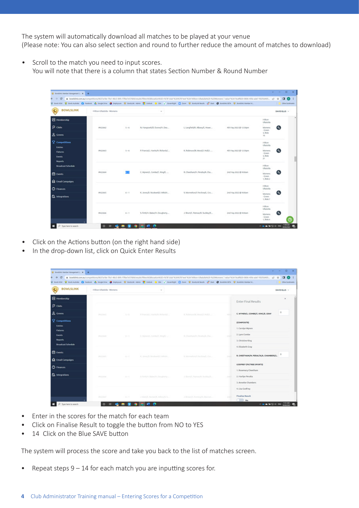The system will automatically download all matches to be played at your venue (Please note: You can also select section and round to further reduce the amount of matches to download)

• Scroll to the match you need to input scores. You will note that there is a column that states Section Number & Round Number

| $\leftarrow$ $\rightarrow$<br>$\sigma$                                                     |                           |         |                                    | @ bowlslink.com.au/competitions/0637a18e-7ls1-48c5-896; f7fbe7e57884/vesubs?f8ers/MS8location%5D+%7EYzkdr%3A3A92Ther%3A7Milton-UlladullaN20-%20Womens","value"%3A"9ca8820-0806-458s-ade7-80265455. |                        |                                                                           | $\Box$ <sup><math>\odot</math></sup><br>音 |
|--------------------------------------------------------------------------------------------|---------------------------|---------|------------------------------------|----------------------------------------------------------------------------------------------------------------------------------------------------------------------------------------------------|------------------------|---------------------------------------------------------------------------|-------------------------------------------|
|                                                                                            |                           |         |                                    | C Son Now C Soutcomes O fontos: A Cooperine O Southern C Southern AD Color, O Co. / CountlyN C 2non C Southern AD Date O Southern C Counter States                                                 |                        |                                                                           | Cilver bookmarks                          |
| <b>BOWLSLINK</b>                                                                           | Milton-Ulladulla - Womens |         | ÷                                  |                                                                                                                                                                                                    |                        |                                                                           | CANNO ELLIS -                             |
| <b>R</b> Membership                                                                        |                           |         |                                    |                                                                                                                                                                                                    |                        | 14hat-<br>Ulladvilla                                                      |                                           |
| $p_{\text{obs}}$<br>& Greens                                                               | #422662                   | $5 - 6$ | N. Mangraviti/D. Dunnerfill, Dea   | L. Langfield/K. Albany/G. Howe                                                                                                                                                                     | 4th Hay 2022 @ 12:30pm | $\mathcal{L}_{\mathcal{C}}$<br><b>Mismens</b><br>- Creen<br>3. Rink<br>16 | $\circ$                                   |
| <sup>Q</sup> Competitions<br><b>Entries</b><br><b>Fixtures</b><br>Events<br><b>Reports</b> | #422663                   | $5 - 6$ | P. Francis/L. Martin/H. Richards/  | K. Robinson/N. Wood/J. Hull/J.                                                                                                                                                                     | 4th May 2022 @ 12:30pm | Hilton-<br>Ulladvilla<br>×.<br><b>Womens</b><br>- Green<br>3, Rink<br>21  | $\circ$                                   |
| <b>Broadcast Schedule</b><br><b>El Events</b>                                              | #422664                   |         | C. Wynen/L. Combe/C. King/E.       | R. Cheetham/H. Peralta/A. Cha                                                                                                                                                                      | 2nd Hay 2022 @ 9:00am  | Hilton-<br>Ulladvilla<br><b>Womens</b><br>- Green<br>1. Rink 2            | G)                                        |
| <b>Q</b> Email Campaigns                                                                   |                           |         |                                    |                                                                                                                                                                                                    |                        | Hilton-<br>Ulladulla                                                      |                                           |
| <b>C</b> Finances<br><b>Cl.</b> Integrations                                               | #422665                   | $6 - 1$ | K. Jones/D. Stockwell/L. Wiltshi   | 5. Wormelton/L.Ferchow/L. Cro                                                                                                                                                                      | 2nd Hay 2022 @ 9:00am  | <b>Womens</b><br>- Green<br>1. Rink 7                                     | $\circ$                                   |
|                                                                                            | #422666                   | $K = 1$ | S. Firth/I-I, Baber/I-I, Dougherty | J. Short/C. Patman/K. Suckley/S                                                                                                                                                                    | 2nd Hay 2022 @ 9:00am  | Hilton-<br>Ulladulla<br>Womens<br>- Creen<br>1. Rink 4                    | ๑<br>൚                                    |

- Click on the Actions button (on the right hand side)
- In the drop-down list, click on Quick Enter Results

| <b>BOWLSLINK</b><br>Milton-Ulladulla - Womens<br>$\sim$<br><b>R</b> Membership<br><b>Enter Final Results</b><br>$p_{\text{obs}}$<br>$\circ$<br>& Greens<br>C. WYNEN/L. COMBE/C. KING/E. CRAY<br>P. Francis R., Martin H. Bichards/<br>K. Robinson/N. Wood/J. Hull/I<br><b>B422643</b><br>$3 - 6$<br><sup>Q</sup> Competitions<br>(COMPOSITE)<br><b>Entries</b><br>1. Carolyn Wynen<br><b>Fixtures</b><br>2. Lynn Combe<br>Ewents<br>E. Cheetham hi, Perahalh, Ora<br>C. Wynesd, Combert, King E.<br>2122001<br>$\alpha \sim 1$<br><b>Reports</b><br>3. Christine King<br><b>Broadcast Schedule</b><br>4. Elizabeth Gray<br><b>El Events</b><br>$\circ$<br>R. CHEETHAM/M. PERALTA/A. CHAMBERS/L.<br>5. Womehord, Ferchowd, Cre.,<br>K. Jones/D. Stockwell/L. Wiltshi,<br>$A - 7$<br>8422665<br><b>Q</b> Email Campaigns<br>COOFREY (FICTREE SPORTS)<br>C Finances<br>1. Rosemary Cheetham<br><b>Cl.</b> Integrations<br>2. Harilyn Peralta<br>5. Firmyl L. Baberyl L. Dougherty<br>J. Box/C. Patriar/K. Sockley/S.,<br>2322446<br>$1 - 1$<br>$24 - 24$<br>3. Annelte Chambers<br>4. Lisa Godfrey |  |  | C SURVIVE C SURVIVES C TRONG & COURTING C DISPONSE CONTRACTOR COM COMMUNISTIC ZON CONTRACTOR CONTRACTOR CONSERVATION OF SURVIVENCE OF SURVIVENCE OF SURVIVENCE OF SURVIVENCE OF SURVIVENCE OF SURVIVENCE OF SURVIVENCE OF SURV |  | Other bookmarks |
|-------------------------------------------------------------------------------------------------------------------------------------------------------------------------------------------------------------------------------------------------------------------------------------------------------------------------------------------------------------------------------------------------------------------------------------------------------------------------------------------------------------------------------------------------------------------------------------------------------------------------------------------------------------------------------------------------------------------------------------------------------------------------------------------------------------------------------------------------------------------------------------------------------------------------------------------------------------------------------------------------------------------------------------------------------------------------------------------------|--|--|--------------------------------------------------------------------------------------------------------------------------------------------------------------------------------------------------------------------------------|--|-----------------|
|                                                                                                                                                                                                                                                                                                                                                                                                                                                                                                                                                                                                                                                                                                                                                                                                                                                                                                                                                                                                                                                                                                 |  |  |                                                                                                                                                                                                                                |  | CANNO ELLIS -   |
|                                                                                                                                                                                                                                                                                                                                                                                                                                                                                                                                                                                                                                                                                                                                                                                                                                                                                                                                                                                                                                                                                                 |  |  |                                                                                                                                                                                                                                |  | ×               |
|                                                                                                                                                                                                                                                                                                                                                                                                                                                                                                                                                                                                                                                                                                                                                                                                                                                                                                                                                                                                                                                                                                 |  |  |                                                                                                                                                                                                                                |  |                 |
|                                                                                                                                                                                                                                                                                                                                                                                                                                                                                                                                                                                                                                                                                                                                                                                                                                                                                                                                                                                                                                                                                                 |  |  |                                                                                                                                                                                                                                |  |                 |
|                                                                                                                                                                                                                                                                                                                                                                                                                                                                                                                                                                                                                                                                                                                                                                                                                                                                                                                                                                                                                                                                                                 |  |  |                                                                                                                                                                                                                                |  |                 |
|                                                                                                                                                                                                                                                                                                                                                                                                                                                                                                                                                                                                                                                                                                                                                                                                                                                                                                                                                                                                                                                                                                 |  |  |                                                                                                                                                                                                                                |  |                 |
|                                                                                                                                                                                                                                                                                                                                                                                                                                                                                                                                                                                                                                                                                                                                                                                                                                                                                                                                                                                                                                                                                                 |  |  |                                                                                                                                                                                                                                |  |                 |
|                                                                                                                                                                                                                                                                                                                                                                                                                                                                                                                                                                                                                                                                                                                                                                                                                                                                                                                                                                                                                                                                                                 |  |  |                                                                                                                                                                                                                                |  |                 |
|                                                                                                                                                                                                                                                                                                                                                                                                                                                                                                                                                                                                                                                                                                                                                                                                                                                                                                                                                                                                                                                                                                 |  |  |                                                                                                                                                                                                                                |  |                 |
|                                                                                                                                                                                                                                                                                                                                                                                                                                                                                                                                                                                                                                                                                                                                                                                                                                                                                                                                                                                                                                                                                                 |  |  |                                                                                                                                                                                                                                |  |                 |
|                                                                                                                                                                                                                                                                                                                                                                                                                                                                                                                                                                                                                                                                                                                                                                                                                                                                                                                                                                                                                                                                                                 |  |  |                                                                                                                                                                                                                                |  |                 |
|                                                                                                                                                                                                                                                                                                                                                                                                                                                                                                                                                                                                                                                                                                                                                                                                                                                                                                                                                                                                                                                                                                 |  |  |                                                                                                                                                                                                                                |  |                 |
|                                                                                                                                                                                                                                                                                                                                                                                                                                                                                                                                                                                                                                                                                                                                                                                                                                                                                                                                                                                                                                                                                                 |  |  |                                                                                                                                                                                                                                |  |                 |
|                                                                                                                                                                                                                                                                                                                                                                                                                                                                                                                                                                                                                                                                                                                                                                                                                                                                                                                                                                                                                                                                                                 |  |  |                                                                                                                                                                                                                                |  |                 |
|                                                                                                                                                                                                                                                                                                                                                                                                                                                                                                                                                                                                                                                                                                                                                                                                                                                                                                                                                                                                                                                                                                 |  |  |                                                                                                                                                                                                                                |  |                 |

- Enter in the scores for the match for each team
- Click on Finalise Result to toggle the button from NO to YES
- 14 Click on the Blue SAVE button

The system will process the score and take you back to the list of matches screen.

• Repeat steps 9 – 14 for each match you are inputting scores for.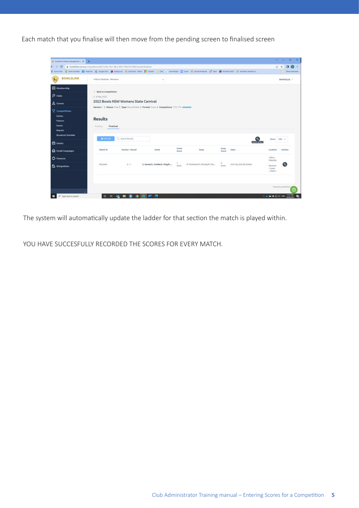Each match that you finalise will then move from the pending screen to finalised screen

| $\circ$<br>$\leftarrow$ $\rightarrow$  | Bowlsink.com.au/competitions/0637a18e-7fa1-48c5-89fc-f7fbe7e57684/results/finalised |                                      |                                                                                                                                                                 |                      |                               |               |                       |                               | $\blacksquare$<br>近食 |
|----------------------------------------|-------------------------------------------------------------------------------------|--------------------------------------|-----------------------------------------------------------------------------------------------------------------------------------------------------------------|----------------------|-------------------------------|---------------|-----------------------|-------------------------------|----------------------|
|                                        |                                                                                     |                                      | C Southern C Southeartes C Southern A Deployment C Southern Arms 22 October C Car / Gourtleff C Down C Southern Law C Southern C Southern C Southern C Southern |                      |                               |               |                       |                               | Offer bookmarks      |
| <b>BOWLSLINK</b>                       | Milton-Ulladulla - Womens                                                           |                                      | $\sim$                                                                                                                                                          |                      |                               |               |                       |                               | DAVID ELLIS ~        |
| <b>B</b> Membership                    |                                                                                     |                                      |                                                                                                                                                                 |                      |                               |               |                       |                               |                      |
| $p_{\text{dubs}}$                      | < Back to Competitions<br>2 - 6 May 2022                                            |                                      |                                                                                                                                                                 |                      |                               |               |                       |                               |                      |
| & Greens                               |                                                                                     | 2022 Bowls NSW Womens State Carnival |                                                                                                                                                                 |                      |                               |               |                       |                               |                      |
|                                        |                                                                                     |                                      | Version: 1   Status: Final   Type: Round-Robin   Fermat: Fours   Competitors: 172/174 minimum                                                                   |                      |                               |               |                       |                               |                      |
| <sup>2</sup> Competitions              |                                                                                     |                                      |                                                                                                                                                                 |                      |                               |               |                       |                               |                      |
| <b>Entries</b><br><b>Fatures</b>       | <b>Results</b>                                                                      |                                      |                                                                                                                                                                 |                      |                               |               |                       |                               |                      |
| Events                                 | Finalised<br>Pending-                                                               |                                      |                                                                                                                                                                 |                      |                               |               |                       |                               |                      |
|                                        |                                                                                     |                                      |                                                                                                                                                                 |                      |                               |               |                       |                               |                      |
| <b>Reports</b>                         |                                                                                     |                                      |                                                                                                                                                                 |                      |                               |               |                       |                               |                      |
| <b>Broadcast Schedule</b>              |                                                                                     |                                      |                                                                                                                                                                 |                      |                               |               |                       |                               |                      |
| <b>E</b> tweets                        | <b>WILTER</b>                                                                       | C. Search Results                    |                                                                                                                                                                 |                      |                               |               |                       | Rews: 100 x                   |                      |
|                                        | Match ID                                                                            | Section - Round                      | Home                                                                                                                                                            | <b>Home</b><br>Score | Away                          | Away<br>Score | <b>Oute :</b>         | Location                      | Actions              |
| <b>Q</b> Email Campaigns<br>C Finances |                                                                                     |                                      |                                                                                                                                                                 |                      |                               |               |                       | Hilton-                       |                      |
|                                        | #422664                                                                             | $6 - 1$                              | C. Wynen/L. Combe/C. King/E                                                                                                                                     | shorts.              | R. Cheetham/H. Peralta/A. Cha | duty          | 2nd Hay 2022 @ 9:00am | Ulladulla<br>$\sim$<br>Womens | ω                    |
| <b>CL</b> Integrations                 |                                                                                     |                                      |                                                                                                                                                                 |                      |                               |               |                       | $-Green$<br>1. Rink 2         |                      |
|                                        |                                                                                     |                                      |                                                                                                                                                                 |                      |                               |               |                       |                               |                      |
|                                        |                                                                                     |                                      |                                                                                                                                                                 |                      |                               |               |                       |                               |                      |

The system will automatically update the ladder for that section the match is played within.

YOU HAVE SUCCESFULLY RECORDED THE SCORES FOR EVERY MATCH.